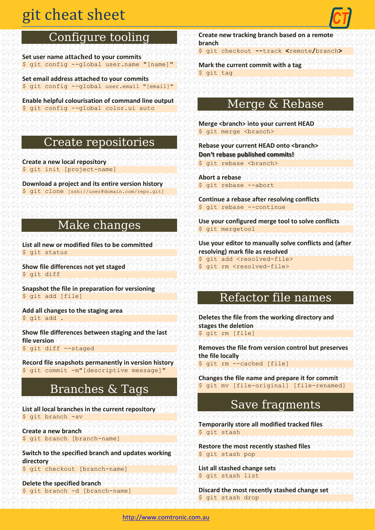# git cheat sheet

# Configure tooling

**Set user name attached to your commits** \$ git config --global user.name "[name]"

**Set email address attached to your commits** \$ git config --global user.email "[email]"

**Enable helpful colourisation of command line output** \$ git config --global color.ui auto

### Create repositories

**Create a new local repository**  \$ git init [project-name]

**Download a project and its entire version history** \$ git clone [ssh://user@domain.com/repo.git]

# Make changes

**List all new or modified files to be committed** \$ git status

**Show file differences not yet staged** \$ git diff

**Snapshot the file in preparation for versioning** \$ git add [file]

**Add all changes to the staging area** \$ git add .

**Show file differences between staging and the last file version** \$ git diff --staged

**Record file snapshots permanently in version history** \$ git commit -m"[descriptive message]"

# Branches & Tags

**List all local branches in the current repository** \$ git branch -av

**Create a new branch** \$ git branch [branch-name]

**Switch to the specified branch and updates working directory** \$ git checkout [branch-name]

**Delete the specified branch** \$ git branch -d [branch-name] **Create new tracking branch based on a remote branch**

\$ git checkout **--**track **<**remote**/**branch**>**

**Mark the current commit with a tag** \$ git tag

## Merge & Rebase

**Merge <branch> into your current HEAD** \$ git merge <branch>

**Rebase your current HEAD onto <branch> Don't rebase published commits!** \$ git rebase <branch>

**Abort a rebase** \$ git rebase --abort

**Continue a rebase after resolving conflicts** \$ git rebase --continue

**Use your configured merge tool to solve conflicts** \$ git mergetool

**Use your editor to manually solve conflicts and (after resolving) mark file as resolved** \$ git add <resolved-file> \$ git rm <resolved-file>

#### Refactor file names

**Deletes the file from the working directory and stages the deletion** \$ git rm [file]

**Removes the file from version control but preserves the file locally** \$ git rm --cached [file]

**Changes the file name and prepare it for commit** \$ git mv [file-original] [file-renamed]

### Save fragments

**Temporarily store all modified tracked files** \$ git stash

**Restore the most recently stashed files** \$ git stash pop

**List all stashed change sets** \$ git stash list

**Discard the most recently stashed change set** \$ git stash drop